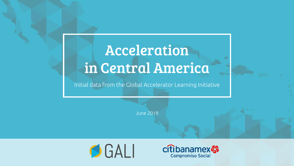## Acceleration in Central America

#### Initial data from the Global Accelerator Learning Initiative

June 2019



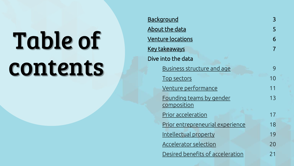## Table of contents

| <b>Background</b>                       | 3              |
|-----------------------------------------|----------------|
| About the data                          | 5              |
| <u>Venture locations</u>                | 6              |
| <u>Key takeaways</u>                    | $\overline{7}$ |
| Dive into the data                      |                |
| Business structure and age              | 9              |
| Top sectors                             | 10             |
| Venture performance                     | 11             |
| Founding teams by gender                | 13             |
| <u>composition</u>                      |                |
| Prior acceleration                      | 17             |
| <u>Prior entrepreneurial experience</u> | 18             |
| Intellectual property                   | 19             |
| <u>Accelerator selection</u>            | 20             |
| Desired benefits of acceleration        | 21             |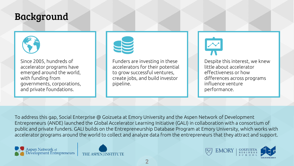#### <span id="page-2-0"></span>Background



Since 2005, hundreds of accelerator programs have emerged around the world, with funding from governments, corporations, and private foundations.



Funders are investing in these accelerators for their potential to grow successful ventures, create jobs, and build investor pipeline.



Despite this interest, we knew little about accelerator effectiveness or how differences across programs influence venture performance.

To address this gap, Social Enterprise @ Goizueta at Emory University and the Aspen Network of Development Entrepreneurs (ANDE) launched the Global Accelerator Learning Initiative (GALI) in collaboration with a consortium of public and private funders. GALI builds on the Entrepreneurship Database Program at Emory University, which works with accelerator programs around the world to collect and analyze data from the entrepreneurs that they attract and support.





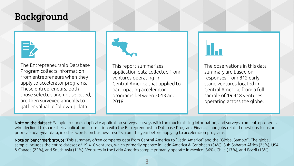#### Background



The Entrepreneurship Database Program collects information from entrepreneurs when they apply to accelerator programs. These entrepreneurs, both those selected and not selected, are then surveyed annually to gather valuable follow-up data.



This report summarizes application data collected from ventures operating in Central America that applied to participating accelerator programs between 2013 and 2018.

The observations in this data summary are based on responses from 812 early stage ventures located in Central America, from a full sample of 19,418 ventures operating across the globe.

Note on the dataset: Sample excludes duplicate application surveys, surveys with too much missing information, and surveys from entrepreneurs who declined to share their application information with the Entrepreneurship Database Program. Financial and jobs-related questions focus on prior calendar-year data, in other words, on business results from the year before applying to acceleration programs.

Note on benchmark groups: This summary often compares data from Central America to "Latin America" and the "Global Sample". The global sample includes the entire dataset of 19,418 ventures, which primarily operate in Latin America & Caribbean (34%), Sub-Saharan Africa (26%), USA & Canada (22%), and South Asia (11%). Ventures in the Latin America sample primarily operate in Mexico (36%), Chile (17%), and Brazil (13%).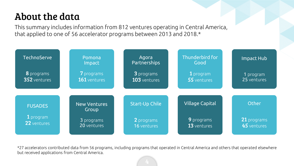### <span id="page-4-0"></span>About the data

This summary includes information from 812 ventures operating in Central America, that applied to one of 56 accelerator programs between 2013 and 2018.\*



\*27 accelerators contributed data from 56 programs, including programs that operated in Central America and others that operated elsewhere but received applications from Central America.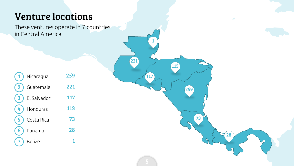#### <span id="page-5-0"></span>Venture locations

These ventures operate in 7 countries in Central America.

117

1

221

259

73

28

113

| 1              | Nicaragua     | 259 |
|----------------|---------------|-----|
| $\overline{2}$ | Guatemala     | 221 |
| 3              | El Salvador   | 117 |
| 4              | Honduras      | 113 |
| $\overline{5}$ | Costa Rica    | 73  |
| 6              | Panama        | 28  |
|                | <b>Belize</b> |     |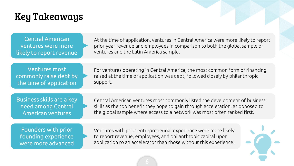#### <span id="page-6-0"></span>Key Takeaways

| Central American         |
|--------------------------|
| ventures were more       |
| likely to report revenue |

At the time of application, ventures in Central America were more likely to report prior-year revenue and employees in comparison to both the global sample of ventures and the Latin America sample.

Ventures most commonly raise debt by the time of application

For ventures operating in Central America, the most common form of financing raised at the time of application was debt, followed closely by philanthropic support.

Business skills are a key need among Central American ventures

Central American ventures most commonly listed the development of business skills as the top benefit they hope to gain through acceleration, as opposed to the global sample where access to a network was most often ranked first.

Founders with prior founding experience were more advanced

Ventures with prior entrepreneurial experience were more likely to report revenue, employees, and philanthropic capital upon application to an accelerator than those without this experience.

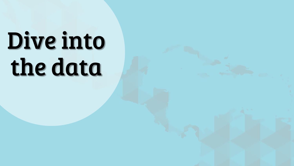## Dive into the data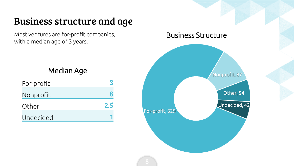#### <span id="page-8-0"></span>Business structure and age

Most ventures are for-profit companies, with a median age of 3 years.

#### Median Age

| For-profit |     |
|------------|-----|
| Nonprofit  |     |
| Other      | 2.5 |
| Undecided  |     |

# For-profit, 629 Nonprofit, 87 Other, 54 Undecided, 42 Business Structure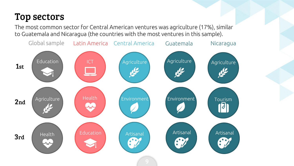#### <span id="page-9-0"></span>Top sectors

The most common sector for Central American ventures was agriculture (17%), similar to Guatemala and Nicaragua (the countries with the most ventures in this sample).

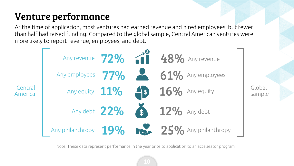#### <span id="page-10-0"></span>Venture performance

At the time of application, most ventures had earned revenue and hired employees, but fewer than half had raised funding. Compared to the global sample, Central American ventures were more likely to report revenue, employees, and debt.



Global sample

Note: These data represent performance in the year prior to application to an accelerator program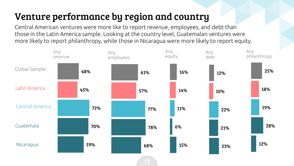#### <span id="page-11-0"></span>Venture performance by region and country

Central American ventures were more like to report revenue, employees, and debt than those in the Latin America sample. Looking at the country level, Guatemalan ventures were more likely to report philanthropy, while those in Nicaragua were more likely to report equity.

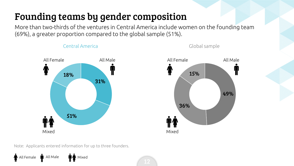#### <span id="page-12-0"></span>Founding teams by gender composition

More than two-thirds of the ventures in Central America include women on the founding team (69%), a greater proportion compared to the global sample (51%).





Global sample



Note: Applicants entered information for up to three founders.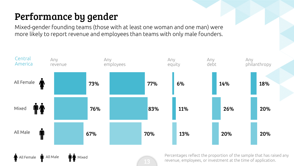### <span id="page-13-0"></span>Performance by gender

Mixed-gender founding teams (those with at least one woman and one man) were more likely to report revenue and employees than teams with only male founders.

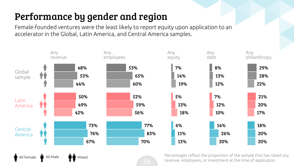### <span id="page-14-0"></span>Performance by gender and region

Female-founded ventures were the least likely to report equity upon application to an accelerator in the Global, Latin America, and Central America samples.



All Female  $\blacksquare$  All Male  $\blacksquare$  Mixed

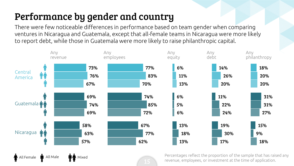### Performance by gender and country

There were few noticeable differences in performance based on team gender when comparing ventures in Nicaragua and Guatemala, except that all-female teams in Nicaragua were more likely to report debt, while those in Guatemala were more likely to raise philanthropic capital.



All Female **M** All Male **M M** Mixed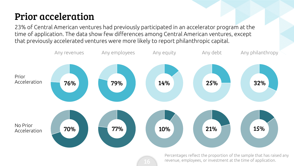#### Prior acceleration

23% of Central American ventures had previously participated in an accelerator program at the time of application. The data show few differences among Central American ventures, except that previously accelerated ventures were more likely to report philanthropic capital.

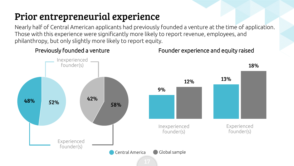#### Prior entrepreneurial experience

Nearly half of Central American applicants had previously founded a venture at the time of application. Those with this experience were significantly more likely to report revenue, employees, and philanthropy, but only slightly more likely to report equity.



Previously founded a venture Founder experience and equity raised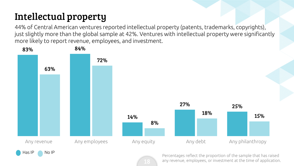## Intellectual property

44% of Central American ventures reported intellectual property (patents, trademarks, copyrights), just slightly more than the global sample at 42%. Ventures with intellectual property were significantly more likely to report revenue, employees, and investment.



any revenue, employees, or investment at the time of application.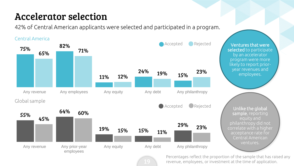#### Accelerator selection

42% of Central American applicants were selected and participated in a program.



Ventures that were selected to participate by an accelerator program were more likely to report prioryear revenues and employees.

Unlike the global sample, reporting equity and philanthropy did not correlate with a higher acceptance rate for Central American ventures.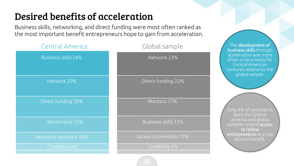#### <span id="page-20-0"></span>Desired benefits of acceleration

Business skills, networking, and direct funding were most often ranked as the most important benefit entrepreneurs hope to gain from acceleration.

| <b>Central America</b>     | Global sample           | The development of<br>business skills through                                                                       |
|----------------------------|-------------------------|---------------------------------------------------------------------------------------------------------------------|
| <b>Business skills 24%</b> | Network 23%             | acceleration was more<br>often a top priority for<br>Central American<br>ventures relative to the<br>global sample. |
| Network 20%                | Direct funding 22%      |                                                                                                                     |
| Direct funding 20%         | Mentors 17%             | Only 4% of ventures in<br>both the Central                                                                          |
| Mentorship 15%             | Business skills 15%     | America and global<br>samples ranked access<br>to fellow                                                            |
| Access to investors 10%    | Access to investors 12% | entrepreneurs as a top<br>desired benefit.                                                                          |
| Credibility 6%             | Credibility 6%          |                                                                                                                     |